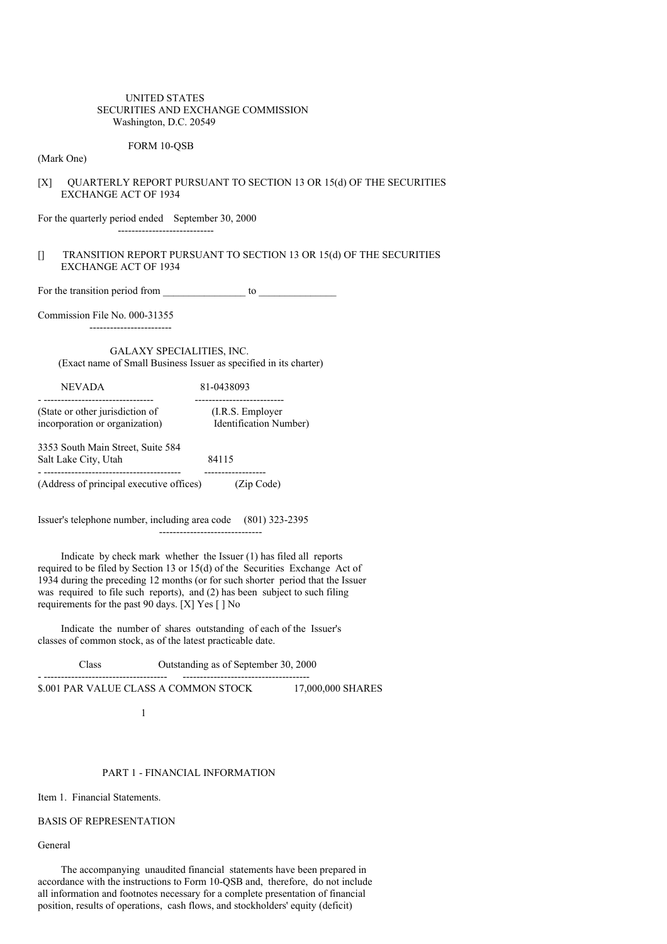## UNITED STATES SECURITIES AND EXCHANGE COMMISSION Washington, D.C. 20549

# FORM 10-QSB

(Mark One)

# [X] QUARTERLY REPORT PURSUANT TO SECTION 13 OR 15(d) OF THE SECURITIES EXCHANGE ACT OF 1934

For the quarterly period ended September 30, 2000

# [] TRANSITION REPORT PURSUANT TO SECTION 13 OR 15(d) OF THE SECURITIES EXCHANGE ACT OF 1934

For the transition period from \_\_\_\_\_\_\_\_\_\_\_\_\_\_\_\_ to \_\_\_\_\_\_\_\_\_\_\_\_\_\_\_

----------------------------

Commission File No. 000-31355

------------------------

# GALAXY SPECIALITIES, INC. (Exact name of Small Business Issuer as specified in its charter)

| <b>NEVADA</b>                                                     | 81-0438093                                  |
|-------------------------------------------------------------------|---------------------------------------------|
| (State or other jurisdiction of<br>incorporation or organization) | (I.R.S. Employer)<br>Identification Number) |
| 3353 South Main Street, Suite 584<br>Salt Lake City, Utah         | 84115                                       |
| (Address of principal executive offices)                          | (Zip Code)                                  |

Issuer's telephone number, including area code (801) 323-2395 ------------------------------

Indicate by check mark whether the Issuer (1) has filed all reports required to be filed by Section 13 or 15(d) of the Securities Exchange Act of 1934 during the preceding 12 months (or for such shorter period that the Issuer was required to file such reports), and (2) has been subject to such filing requirements for the past 90 days. [X] Yes [ ] No

Indicate the number of shares outstanding of each of the Issuer's classes of common stock, as of the latest practicable date.

- ------------------------------------ -------------------------------------

Class Outstanding as of September 30, 2000

\$.001 PAR VALUE CLASS A COMMON STOCK 17,000,000 SHARES

1

#### PART 1 - FINANCIAL INFORMATION

Item 1. Financial Statements.

# BASIS OF REPRESENTATION

General

The accompanying unaudited financial statements have been prepared in accordance with the instructions to Form 10-QSB and, therefore, do not include all information and footnotes necessary for a complete presentation of financial position, results of operations, cash flows, and stockholders' equity (deficit)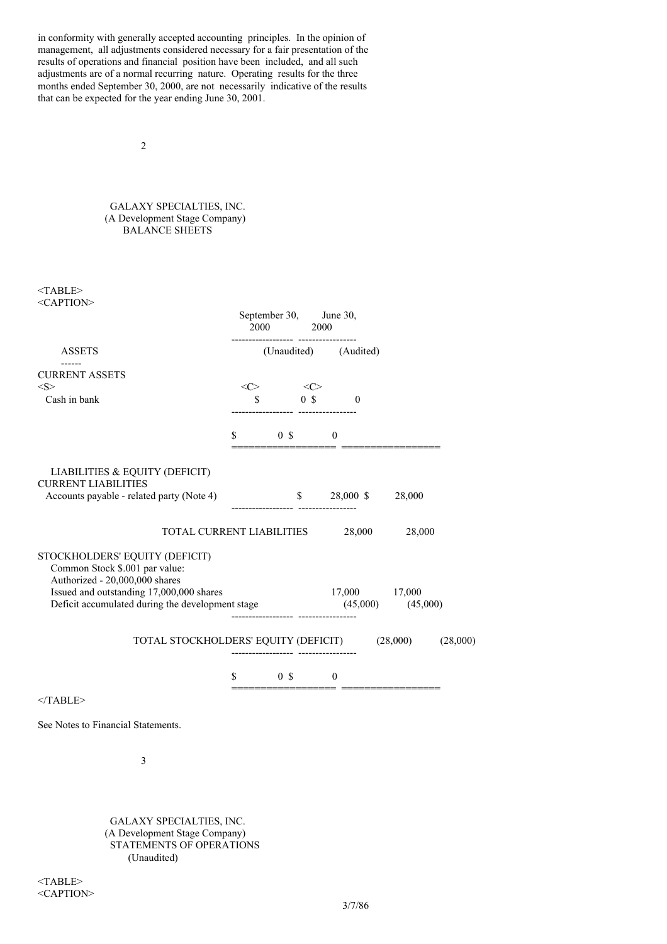in conformity with generally accepted accounting principles. In the opinion of management, all adjustments considered necessary for a fair presentation of the results of operations and financial position have been included, and all such adjustments are of a normal recurring nature. Operating results for the three months ended September 30, 2000, are not necessarily indicative of the results that can be expected for the year ending June 30, 2001.

2

# GALAXY SPECIALTIES, INC. (A Development Stage Company) BALANCE SHEETS

<TABLE> <CAPTION>

|                                                                                                    | September 30, June 30,<br>$2000\qquad \qquad 2000$                                                                                                                                                                                                                                                                                                                                                                                                               |                            |          |
|----------------------------------------------------------------------------------------------------|------------------------------------------------------------------------------------------------------------------------------------------------------------------------------------------------------------------------------------------------------------------------------------------------------------------------------------------------------------------------------------------------------------------------------------------------------------------|----------------------------|----------|
| <b>ASSETS</b>                                                                                      | ----------------- -----------------                                                                                                                                                                                                                                                                                                                                                                                                                              | (Unaudited) (Audited)      |          |
| <b>CURRENT ASSETS</b>                                                                              |                                                                                                                                                                                                                                                                                                                                                                                                                                                                  |                            |          |
| <s></s>                                                                                            | $\langle C \rangle$ $\langle C \rangle$                                                                                                                                                                                                                                                                                                                                                                                                                          |                            |          |
| Cash in bank                                                                                       | $\begin{array}{ccc} \text{\$} & & \text{\$} & \text{\$} & \text{\$} & \text{\$} \\ \text{\$} & & \text{\$} & \text{\$} & \text{\$} & \text{\$} \\ \end{array}$                                                                                                                                                                                                                                                                                                   |                            |          |
|                                                                                                    | $\begin{array}{ccc} \text{\$} & & \text{\$} & \text{\$} & \text{\$} & \text{\$} & \text{\$} & \text{\$} & \text{\$} & \text{\$} & \text{\$} & \text{\$} & \text{\$} & \text{\$} & \text{\$} & \text{\$} & \text{\$} & \text{\$} & \text{\$} & \text{\$} & \text{\$} & \text{\$} & \text{\$} & \text{\$} & \text{\$} & \text{\$} & \text{\$} & \text{\$} & \text{\$} & \text{\$} & \text{\$} & \text{\$} & \text{\$} & \text{\$} & \text{\$} & \text{\$} & \text$ | ========================   |          |
| LIABILITIES & EQUITY (DEFICIT)<br><b>CURRENT LIABILITIES</b>                                       |                                                                                                                                                                                                                                                                                                                                                                                                                                                                  |                            |          |
| Accounts payable - related party (Note 4)                                                          |                                                                                                                                                                                                                                                                                                                                                                                                                                                                  | $$28,000 \text{ } $28,000$ |          |
| TOTAL CURRENT LIABILITIES 28,000 28,000                                                            |                                                                                                                                                                                                                                                                                                                                                                                                                                                                  |                            |          |
| STOCKHOLDERS' EQUITY (DEFICIT)<br>Common Stock \$.001 par value:<br>Authorized - 20,000,000 shares |                                                                                                                                                                                                                                                                                                                                                                                                                                                                  |                            |          |
| Issued and outstanding 17,000,000 shares                                                           |                                                                                                                                                                                                                                                                                                                                                                                                                                                                  | 17,000 17,000              |          |
| Deficit accumulated during the development stage (45,000) (45,000) (45,000)                        |                                                                                                                                                                                                                                                                                                                                                                                                                                                                  |                            |          |
| TOTAL STOCKHOLDERS' EQUITY (DEFICIT) (28,000)                                                      |                                                                                                                                                                                                                                                                                                                                                                                                                                                                  |                            | (28,000) |
|                                                                                                    | $\begin{array}{ccc} \text{\$} & & \text{\$} & \text{\$} & \text{\$} & \text{\$} & \text{\$} & \text{\$} & \text{\$} & \text{\$} & \text{\$} & \text{\$} & \text{\$} & \text{\$} & \text{\$} & \text{\$} & \text{\$} & \text{\$} & \text{\$} & \text{\$} & \text{\$} & \text{\$} & \text{\$} & \text{\$} & \text{\$} & \text{\$} & \text{\$} & \text{\$} & \text{\$} & \text{\$} & \text{\$} & \text{\$} & \text{\$} & \text{\$} & \text{\$} & \text{\$} & \text$ |                            |          |
| $<$ TABLE>                                                                                         |                                                                                                                                                                                                                                                                                                                                                                                                                                                                  |                            |          |

See Notes to Financial Statements.

3

GALAXY SPECIALTIES, INC. (A Development Stage Company) STATEMENTS OF OPERATIONS (Unaudited)

<TABLE> <CAPTION>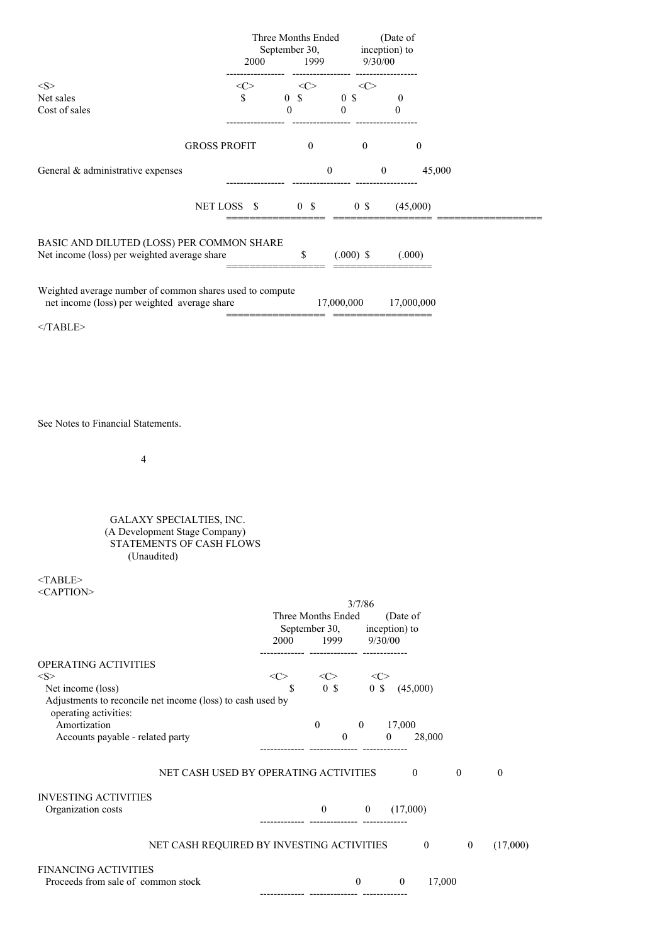|                                                                                                          |               | Three Months Ended<br>September 30,<br>2000 1999                                              |                           | (Date of<br>inception) to<br>9/30/00 |                            |                                      |                  |
|----------------------------------------------------------------------------------------------------------|---------------|-----------------------------------------------------------------------------------------------|---------------------------|--------------------------------------|----------------------------|--------------------------------------|------------------|
| $<\!\!S\!\!>$                                                                                            | $<\!\!C\!\!>$ | $\langle C \rangle$                                                                           |                           | $<\infty$                            |                            |                                      |                  |
| Net sales<br>Cost of sales                                                                               | \$            | $0 \quad$ \$ $0 \quad$ \$<br>$\mathbf{0}$                                                     | $\overline{0}$            |                                      | $\bf{0}$<br>$\bf{0}$       |                                      |                  |
| <b>GROSS PROFIT</b>                                                                                      |               | $\overline{0}$                                                                                |                           | $\overline{0}$                       |                            | $\boldsymbol{0}$                     |                  |
| General & administrative expenses                                                                        |               |                                                                                               | $\boldsymbol{0}$          |                                      | $\overline{0}$             | 45,000                               |                  |
| NET LOSS \$                                                                                              |               |                                                                                               | $0 \quad$ \$ $0 \quad$ \$ |                                      | (45,000)                   |                                      |                  |
| BASIC AND DILUTED (LOSS) PER COMMON SHARE<br>Net income (loss) per weighted average share                |               | \$                                                                                            | $(.000)$ \$               |                                      | (.000)                     |                                      |                  |
| Weighted average number of common shares used to compute<br>net income (loss) per weighted average share |               |                                                                                               | 17,000,000                |                                      | 17,000,000                 |                                      |                  |
| $<$ /TABLE>                                                                                              |               |                                                                                               |                           |                                      |                            |                                      |                  |
|                                                                                                          |               |                                                                                               |                           |                                      |                            |                                      |                  |
|                                                                                                          |               |                                                                                               |                           |                                      |                            |                                      |                  |
| See Notes to Financial Statements.                                                                       |               |                                                                                               |                           |                                      |                            |                                      |                  |
| 4                                                                                                        |               |                                                                                               |                           |                                      |                            |                                      |                  |
|                                                                                                          |               |                                                                                               |                           |                                      |                            |                                      |                  |
| GALAXY SPECIALTIES, INC.<br>(A Development Stage Company)<br>STATEMENTS OF CASH FLOWS<br>(Unaudited)     |               |                                                                                               |                           |                                      |                            |                                      |                  |
| $<$ TABLE><br><caption></caption>                                                                        |               |                                                                                               |                           |                                      |                            |                                      |                  |
|                                                                                                          |               | Three Months Ended<br>September 30, inception) to<br>2000                                     | 1999                      | 3/7/86                               | (Date of<br>9/30/00        |                                      |                  |
| OPERATING ACTIVITIES<br>$<\!\!S\!\!>$                                                                    |               | --------- -------------- -------------                                                        |                           |                                      |                            |                                      |                  |
| Net income (loss)<br>Adjustments to reconcile net income (loss) to cash used by                          |               | $\begin{tabular}{ccccc}  & &  & & \\ & \S & & 0 & \S & & 0 & \S & & (45,000)\\ \end{tabular}$ |                           |                                      |                            |                                      |                  |
|                                                                                                          |               |                                                                                               |                           |                                      |                            |                                      |                  |
| operating activities:<br>Amortization<br>Accounts payable - related party                                |               | $\overline{0}$                                                                                | $\boldsymbol{0}$          |                                      | 0 17,000<br>$\overline{0}$ | 28,000                               |                  |
| NET CASH USED BY OPERATING ACTIVITIES                                                                    |               |                                                                                               |                           |                                      | $\overline{0}$             | $\overline{0}$                       | $\boldsymbol{0}$ |
| <b>INVESTING ACTIVITIES</b><br>Organization costs                                                        |               |                                                                                               |                           |                                      | $0 \t 0 \t (17,000)$       |                                      |                  |
| NET CASH REQUIRED BY INVESTING ACTIVITIES                                                                |               |                                                                                               |                           |                                      |                            | $\boldsymbol{0}$<br>$\boldsymbol{0}$ | (17,000)         |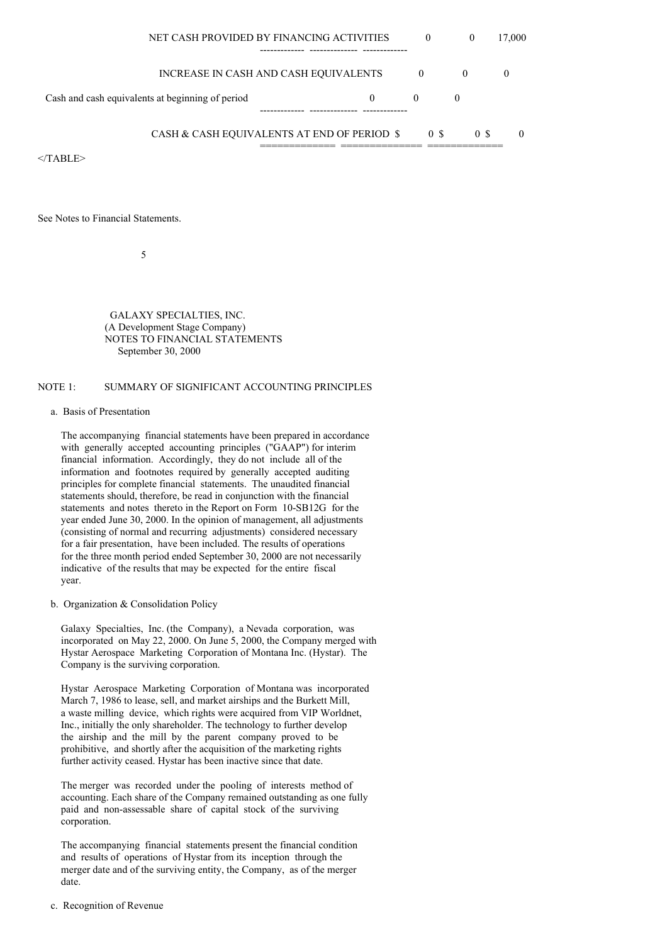| NET CASH PROVIDED BY FINANCING ACTIVITIES        | $\theta$ | $\theta$                           | 17,000 |
|--------------------------------------------------|----------|------------------------------------|--------|
|                                                  |          |                                    |        |
| INCREASE IN CASH AND CASH EQUIVALENTS            | $\theta$ |                                    |        |
| Cash and cash equivalents at beginning of period |          |                                    |        |
|                                                  |          |                                    |        |
|                                                  |          | $\wedge$ $\wedge$<br>$\sim$ $\sim$ | $\sim$ |

CASH & CASH EQUIVALENTS AT END OF PERIOD \$ 0 \$ 0 \$ 0 ============= ============== =============

 $<$ /TABLE>

See Notes to Financial Statements.

5

GALAXY SPECIALTIES, INC. (A Development Stage Company) NOTES TO FINANCIAL STATEMENTS September 30, 2000

# NOTE 1: SUMMARY OF SIGNIFICANT ACCOUNTING PRINCIPLES

### a. Basis of Presentation

The accompanying financial statements have been prepared in accordance with generally accepted accounting principles ("GAAP") for interim financial information. Accordingly, they do not include all of the information and footnotes required by generally accepted auditing principles for complete financial statements. The unaudited financial statements should, therefore, be read in conjunction with the financial statements and notes thereto in the Report on Form 10-SB12G for the year ended June 30, 2000. In the opinion of management, all adjustments (consisting of normal and recurring adjustments) considered necessary for a fair presentation, have been included. The results of operations for the three month period ended September 30, 2000 are not necessarily indicative of the results that may be expected for the entire fiscal year.

b. Organization & Consolidation Policy

Galaxy Specialties, Inc. (the Company), a Nevada corporation, was incorporated on May 22, 2000. On June 5, 2000, the Company merged with Hystar Aerospace Marketing Corporation of Montana Inc. (Hystar). The Company is the surviving corporation.

Hystar Aerospace Marketing Corporation of Montana was incorporated March 7, 1986 to lease, sell, and market airships and the Burkett Mill, a waste milling device, which rights were acquired from VIP Worldnet, Inc., initially the only shareholder. The technology to further develop the airship and the mill by the parent company proved to be prohibitive, and shortly after the acquisition of the marketing rights further activity ceased. Hystar has been inactive since that date.

The merger was recorded under the pooling of interests method of accounting. Each share of the Company remained outstanding as one fully paid and non-assessable share of capital stock of the surviving corporation.

The accompanying financial statements present the financial condition and results of operations of Hystar from its inception through the merger date and of the surviving entity, the Company, as of the merger date.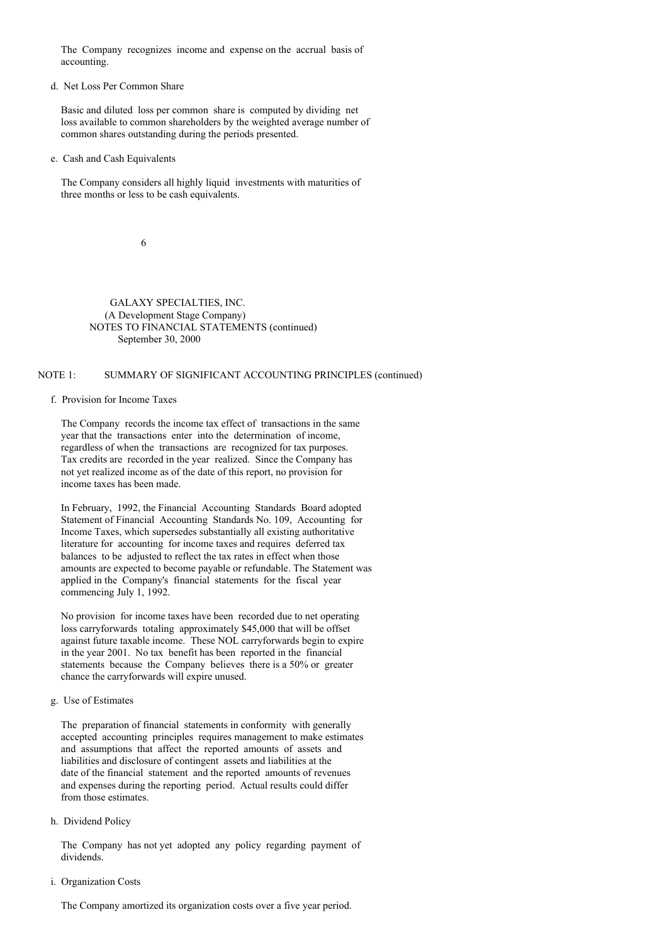The Company recognizes income and expense on the accrual basis of accounting.

#### d. Net Loss Per Common Share

Basic and diluted loss per common share is computed by dividing net loss available to common shareholders by the weighted average number of common shares outstanding during the periods presented.

#### e. Cash and Cash Equivalents

The Company considers all highly liquid investments with maturities of three months or less to be cash equivalents.

6

GALAXY SPECIALTIES, INC. (A Development Stage Company) NOTES TO FINANCIAL STATEMENTS (continued) September 30, 2000

# NOTE 1: SUMMARY OF SIGNIFICANT ACCOUNTING PRINCIPLES (continued)

## f. Provision for Income Taxes

The Company records the income tax effect of transactions in the same year that the transactions enter into the determination of income, regardless of when the transactions are recognized for tax purposes. Tax credits are recorded in the year realized. Since the Company has not yet realized income as of the date of this report, no provision for income taxes has been made.

In February, 1992, the Financial Accounting Standards Board adopted Statement of Financial Accounting Standards No. 109, Accounting for Income Taxes, which supersedes substantially all existing authoritative literature for accounting for income taxes and requires deferred tax balances to be adjusted to reflect the tax rates in effect when those amounts are expected to become payable or refundable. The Statement was applied in the Company's financial statements for the fiscal year commencing July 1, 1992.

No provision for income taxes have been recorded due to net operating loss carryforwards totaling approximately \$45,000 that will be offset against future taxable income. These NOL carryforwards begin to expire in the year 2001. No tax benefit has been reported in the financial statements because the Company believes there is a 50% or greater chance the carryforwards will expire unused.

#### g. Use of Estimates

The preparation of financial statements in conformity with generally accepted accounting principles requires management to make estimates and assumptions that affect the reported amounts of assets and liabilities and disclosure of contingent assets and liabilities at the date of the financial statement and the reported amounts of revenues and expenses during the reporting period. Actual results could differ from those estimates.

#### h. Dividend Policy

The Company has not yet adopted any policy regarding payment of dividends.

i. Organization Costs

The Company amortized its organization costs over a five year period.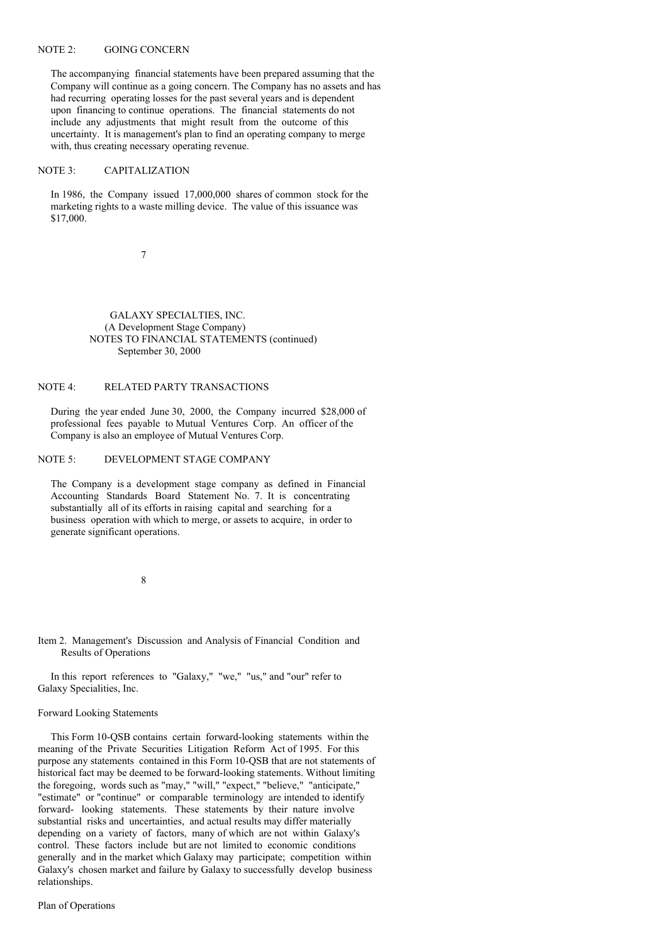### NOTE 2: GOING CONCERN

The accompanying financial statements have been prepared assuming that the Company will continue as a going concern. The Company has no assets and has had recurring operating losses for the past several years and is dependent upon financing to continue operations. The financial statements do not include any adjustments that might result from the outcome of this uncertainty. It is management's plan to find an operating company to merge with, thus creating necessary operating revenue.

#### NOTE 3: CAPITALIZATION

In 1986, the Company issued 17,000,000 shares of common stock for the marketing rights to a waste milling device. The value of this issuance was \$17,000.

7

GALAXY SPECIALTIES, INC. (A Development Stage Company) NOTES TO FINANCIAL STATEMENTS (continued) September 30, 2000

# NOTE 4: RELATED PARTY TRANSACTIONS

During the year ended June 30, 2000, the Company incurred \$28,000 of professional fees payable to Mutual Ventures Corp. An officer of the Company is also an employee of Mutual Ventures Corp.

# NOTE 5: DEVELOPMENT STAGE COMPANY

The Company is a development stage company as defined in Financial Accounting Standards Board Statement No. 7. It is concentrating substantially all of its efforts in raising capital and searching for a business operation with which to merge, or assets to acquire, in order to generate significant operations.

8

Item 2. Management's Discussion and Analysis of Financial Condition and Results of Operations

In this report references to "Galaxy," "we," "us," and "our" refer to Galaxy Specialities, Inc.

#### Forward Looking Statements

This Form 10-QSB contains certain forward-looking statements within the meaning of the Private Securities Litigation Reform Act of 1995. For this purpose any statements contained in this Form 10-QSB that are not statements of historical fact may be deemed to be forward-looking statements. Without limiting the foregoing, words such as "may," "will," "expect," "believe," "anticipate," "estimate" or "continue" or comparable terminology are intended to identify forward- looking statements. These statements by their nature involve substantial risks and uncertainties, and actual results may differ materially depending on a variety of factors, many of which are not within Galaxy's control. These factors include but are not limited to economic conditions generally and in the market which Galaxy may participate; competition within Galaxy's chosen market and failure by Galaxy to successfully develop business relationships.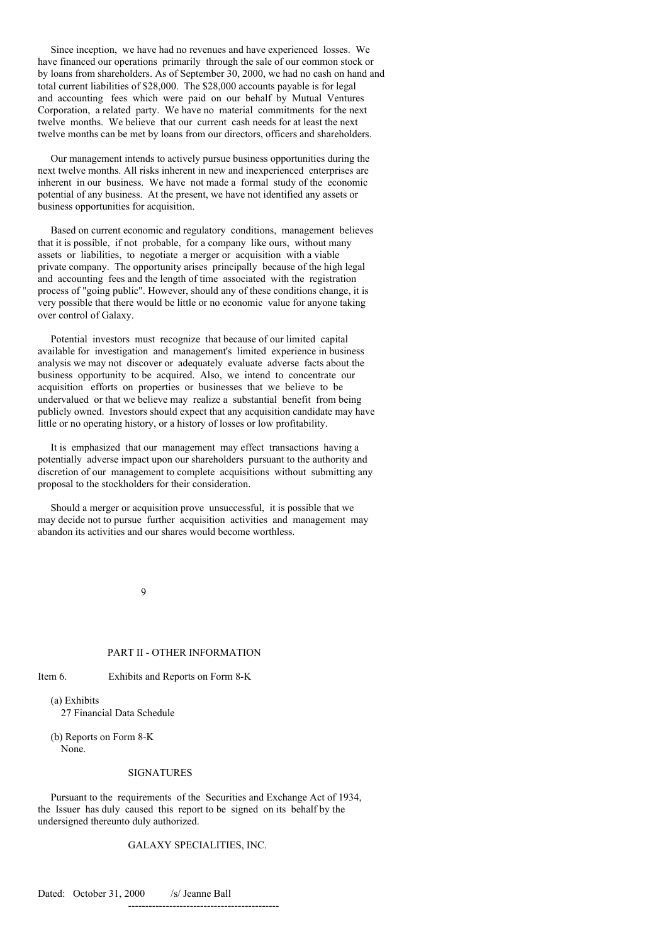Since inception, we have had no revenues and have experienced losses. We have financed our operations primarily through the sale of our common stock or by loans from shareholders. As of September 30, 2000, we had no cash on hand and total current liabilities of \$28,000. The \$28,000 accounts payable is for legal and accounting fees which were paid on our behalf by Mutual Ventures Corporation, a related party. We have no material commitments for the next twelve months. We believe that our current cash needs for at least the next twelve months can be met by loans from our directors, officers and shareholders.

Our management intends to actively pursue business opportunities during the next twelve months. All risks inherent in new and inexperienced enterprises are inherent in our business. We have not made a formal study of the economic potential of any business. At the present, we have not identified any assets or business opportunities for acquisition.

Based on current economic and regulatory conditions, management believes that it is possible, if not probable, for a company like ours, without many assets or liabilities, to negotiate a merger or acquisition with a viable private company. The opportunity arises principally because of the high legal and accounting fees and the length of time associated with the registration process of "going public". However, should any of these conditions change, it is very possible that there would be little or no economic value for anyone taking over control of Galaxy.

Potential investors must recognize that because of our limited capital available for investigation and management's limited experience in business analysis we may not discover or adequately evaluate adverse facts about the business opportunity to be acquired. Also, we intend to concentrate our acquisition efforts on properties or businesses that we believe to be undervalued or that we believe may realize a substantial benefit from being publicly owned. Investors should expect that any acquisition candidate may have little or no operating history, or a history of losses or low profitability.

It is emphasized that our management may effect transactions having a potentially adverse impact upon our shareholders pursuant to the authority and discretion of our management to complete acquisitions without submitting any proposal to the stockholders for their consideration.

Should a merger or acquisition prove unsuccessful, it is possible that we may decide not to pursue further acquisition activities and management may abandon its activities and our shares would become worthless.

9

#### PART II - OTHER INFORMATION

Item 6. Exhibits and Reports on Form 8-K

(a) Exhibits 27 Financial Data Schedule

(b) Reports on Form 8-K None.

#### SIGNATURES

Pursuant to the requirements of the Securities and Exchange Act of 1934, the Issuer has duly caused this report to be signed on its behalf by the undersigned thereunto duly authorized.

# GALAXY SPECIALITIES, INC.

Dated: October 31, 2000 /s/ Jeanne Ball --------------------------------------------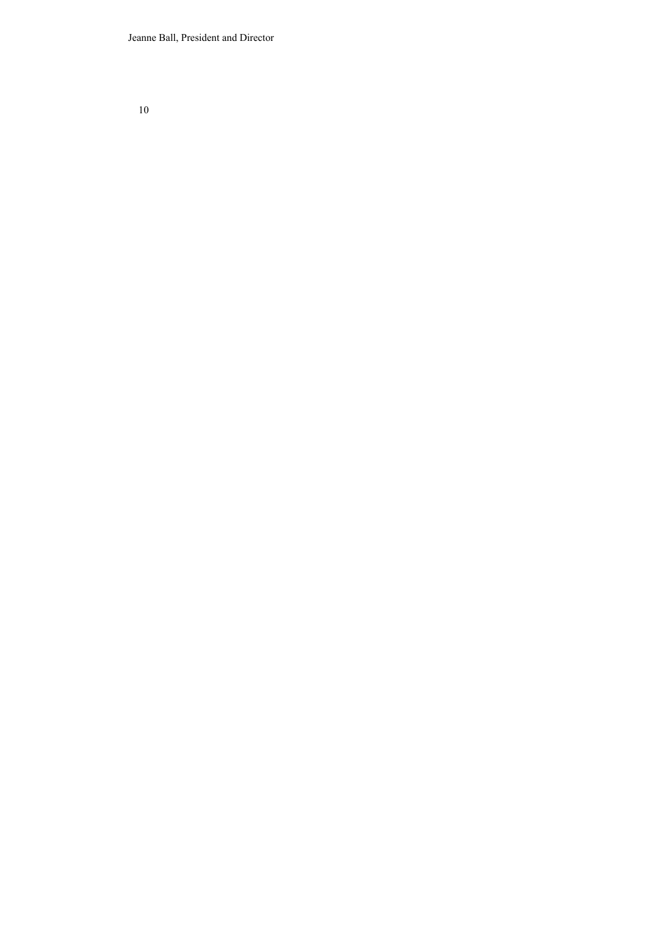Jeanne Ball, President and Director

10